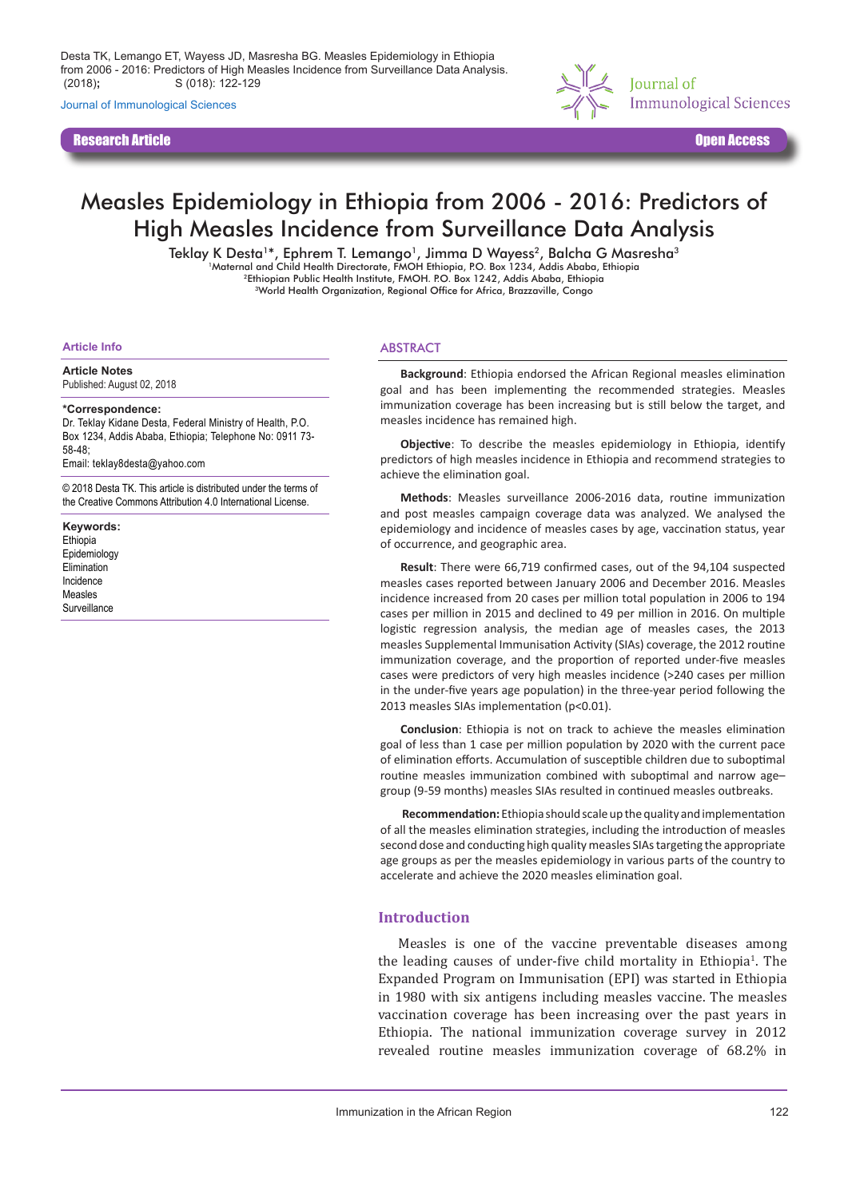Journal of Immunological Sciences

Research Article Open Access



# Measles Epidemiology in Ethiopia from 2006 - 2016: Predictors of High Measles Incidence from Surveillance Data Analysis

Teklay K Desta<sup>1\*</sup>, Ephrem T. Lemango<sup>1</sup>, Jimma D Wayess<sup>2</sup>, Balcha G Masresha<sup>3</sup><br>Maternal and Child Health Directorate, FMOH Ethiopia, P.O. Box 1234, Addis Ababa, Ethiopia 2Ethiopian Public Health Institute, FMOH. P.O. Box 1242, Addis Ababa, Ethiopia 3World Health Organization, Regional Office for Africa, Brazzaville, Congo

#### **Article Info**

**Article Notes** Published: August 02, 2018

#### **\*Correspondence:**

Dr. Teklay Kidane Desta, Federal Ministry of Health, P.O. Box 1234, Addis Ababa, Ethiopia; Telephone No: 0911 73- 58-48;

Email: teklay8desta@yahoo.com

© 2018 Desta TK. This article is distributed under the terms of the Creative Commons Attribution 4.0 International License.

**Keywords:** Ethiopia Epidemiology **Elimination** Incidence Measles Surveillance

#### ABSTRACT

**Background**: Ethiopia endorsed the African Regional measles elimination goal and has been implementing the recommended strategies. Measles immunization coverage has been increasing but is still below the target, and measles incidence has remained high.

**Objective**: To describe the measles epidemiology in Ethiopia, identify predictors of high measles incidence in Ethiopia and recommend strategies to achieve the elimination goal.

**Methods**: Measles surveillance 2006-2016 data, routine immunization and post measles campaign coverage data was analyzed. We analysed the epidemiology and incidence of measles cases by age, vaccination status, year of occurrence, and geographic area.

**Result**: There were 66,719 confirmed cases, out of the 94,104 suspected measles cases reported between January 2006 and December 2016. Measles incidence increased from 20 cases per million total population in 2006 to 194 cases per million in 2015 and declined to 49 per million in 2016. On multiple logistic regression analysis, the median age of measles cases, the 2013 measles Supplemental Immunisation Activity (SIAs) coverage, the 2012 routine immunization coverage, and the proportion of reported under-five measles cases were predictors of very high measles incidence (>240 cases per million in the under-five years age population) in the three-year period following the 2013 measles SIAs implementation (p<0.01).

**Conclusion**: Ethiopia is not on track to achieve the measles elimination goal of less than 1 case per million population by 2020 with the current pace of elimination efforts. Accumulation of susceptible children due to suboptimal routine measles immunization combined with suboptimal and narrow age– group (9-59 months) measles SIAs resulted in continued measles outbreaks.

**Recommendation:** Ethiopia should scale up the quality and implementation of all the measles elimination strategies, including the introduction of measles second dose and conducting high quality measles SIAs targeting the appropriate age groups as per the measles epidemiology in various parts of the country to accelerate and achieve the 2020 measles elimination goal.

#### **Introduction**

Measles is one of the vaccine preventable diseases among the leading causes of under-five child mortality in Ethiopia<sup>1</sup>. The Expanded Program on Immunisation (EPI) was started in Ethiopia in 1980 with six antigens including measles vaccine. The measles vaccination coverage has been increasing over the past years in Ethiopia. The national immunization coverage survey in 2012 revealed routine measles immunization coverage of 68.2% in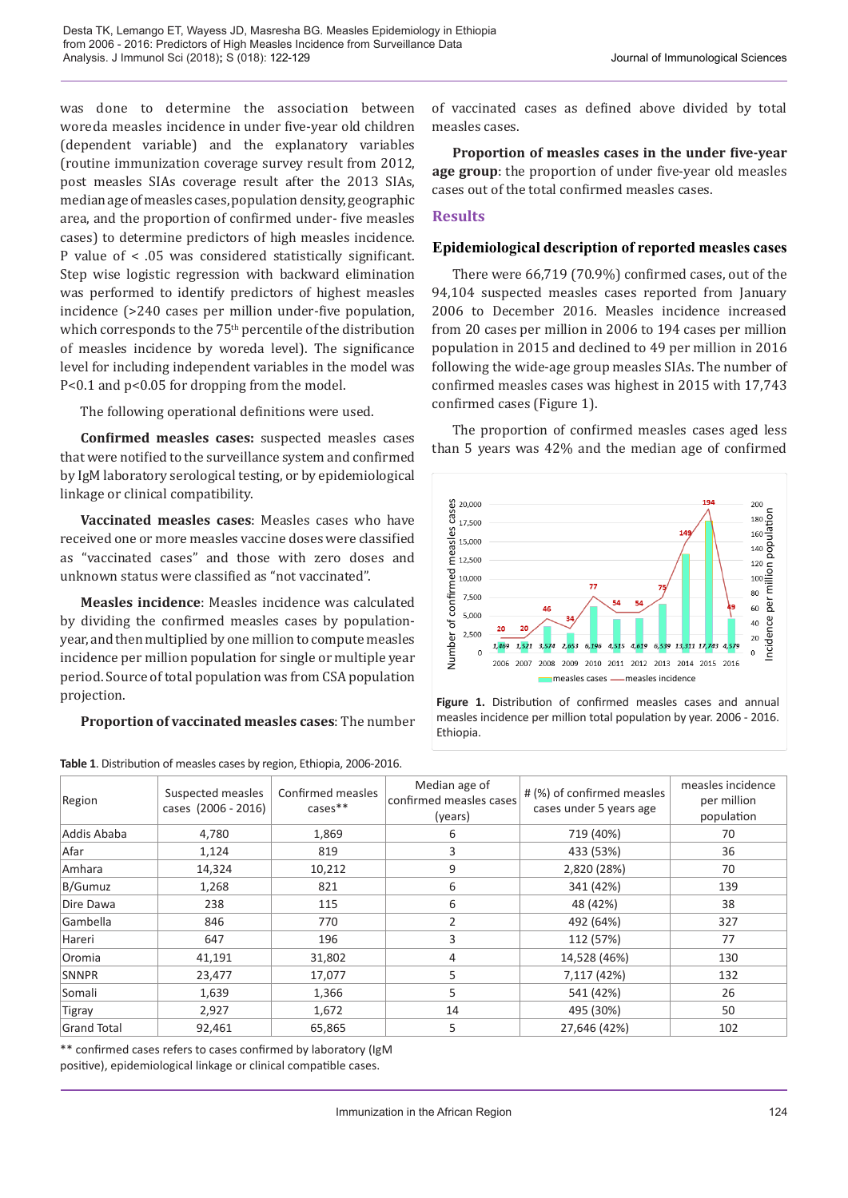was done to determine the association between woreda measles incidence in under five-year old children (dependent variable) and the explanatory variables (routine immunization coverage survey result from 2012, post measles SIAs coverage result after the 2013 SIAs, median age of measles cases, population density, geographic area, and the proportion of confirmed under- five measles cases) to determine predictors of high measles incidence. P value of < .05 was considered statistically significant. Step wise logistic regression with backward elimination was performed to identify predictors of highest measles incidence (>240 cases per million under-five population, which corresponds to the 75<sup>th</sup> percentile of the distribution of measles incidence by woreda level). The significance level for including independent variables in the model was P<0.1 and p<0.05 for dropping from the model.

The following operational definitions were used.

**Confirmed measles cases:** suspected measles cases that were notified to the surveillance system and confirmed by IgM laboratory serological testing, or by epidemiological linkage or clinical compatibility.

**Vaccinated measles cases**: Measles cases who have received one or more measles vaccine doses were classified as "vaccinated cases" and those with zero doses and unknown status were classified as "not vaccinated".

**Measles incidence**: Measles incidence was calculated by dividing the confirmed measles cases by populationyear, and then multiplied by one million to compute measles incidence per million population for single or multiple year period. Source of total population was from CSA population projection.

**Proportion of vaccinated measles cases**: The number

**Table 1**. Distribution of measles cases by region, Ethiopia, 2006-2016.

of vaccinated cases as defined above divided by total measles cases.

**Proportion of measles cases in the under five-year age group**: the proportion of under five-year old measles cases out of the total confirmed measles cases.

## **Results**

## **Epidemiological description of reported measles cases**

There were 66,719 (70.9%) confirmed cases, out of the 94,104 suspected measles cases reported from January 2006 to December 2016. Measles incidence increased from 20 cases per million in 2006 to 194 cases per million population in 2015 and declined to 49 per million in 2016 following the wide-age group measles SIAs. The number of confirmed measles cases was highest in 2015 with 17,743 confirmed cases (Figure 1).

The proportion of confirmed measles cases aged less than 5 years was 42% and the median age of confirmed



**Figure 1.** Distribution of confirmed measles cases and annual measles incidence per million total population by year. 2006 - 2016. Ethiopia.

| Region             | Suspected measles<br>cases (2006 - 2016) | Confirmed measles<br>$cases**$ | Median age of<br>confirmed measles cases<br>(years) | # (%) of confirmed measles<br>cases under 5 years age | measles incidence<br>per million<br>population |
|--------------------|------------------------------------------|--------------------------------|-----------------------------------------------------|-------------------------------------------------------|------------------------------------------------|
| Addis Ababa        | 4,780                                    | 1,869                          | 6                                                   | 719 (40%)                                             | 70                                             |
| Afar               | 1,124                                    | 819                            | 3                                                   | 433 (53%)                                             | 36                                             |
| Amhara             | 14,324                                   | 10,212                         | 9                                                   | 2,820 (28%)                                           | 70                                             |
| B/Gumuz            | 1,268                                    | 821                            | 6                                                   | 341 (42%)                                             | 139                                            |
| Dire Dawa          | 238                                      | 115                            | 6                                                   | 48 (42%)                                              | 38                                             |
| Gambella           | 846                                      | 770                            | $\overline{2}$                                      | 492 (64%)                                             | 327                                            |
| Hareri             | 647                                      | 196                            | 3                                                   | 112 (57%)                                             | 77                                             |
| Oromia             | 41,191                                   | 31,802                         | 4                                                   | 14,528 (46%)                                          | 130                                            |
| <b>SNNPR</b>       | 23,477                                   | 17,077                         | 5                                                   | 7,117 (42%)                                           | 132                                            |
| Somali             | 1,639                                    | 1,366                          | 5                                                   | 541 (42%)                                             | 26                                             |
| Tigray             | 2,927                                    | 1,672                          | 14                                                  | 495 (30%)                                             | 50                                             |
| <b>Grand Total</b> | 92,461                                   | 65,865                         | 5                                                   | 27,646 (42%)                                          | 102                                            |

\*\* confirmed cases refers to cases confirmed by laboratory (IgM positive), epidemiological linkage or clinical compatible cases.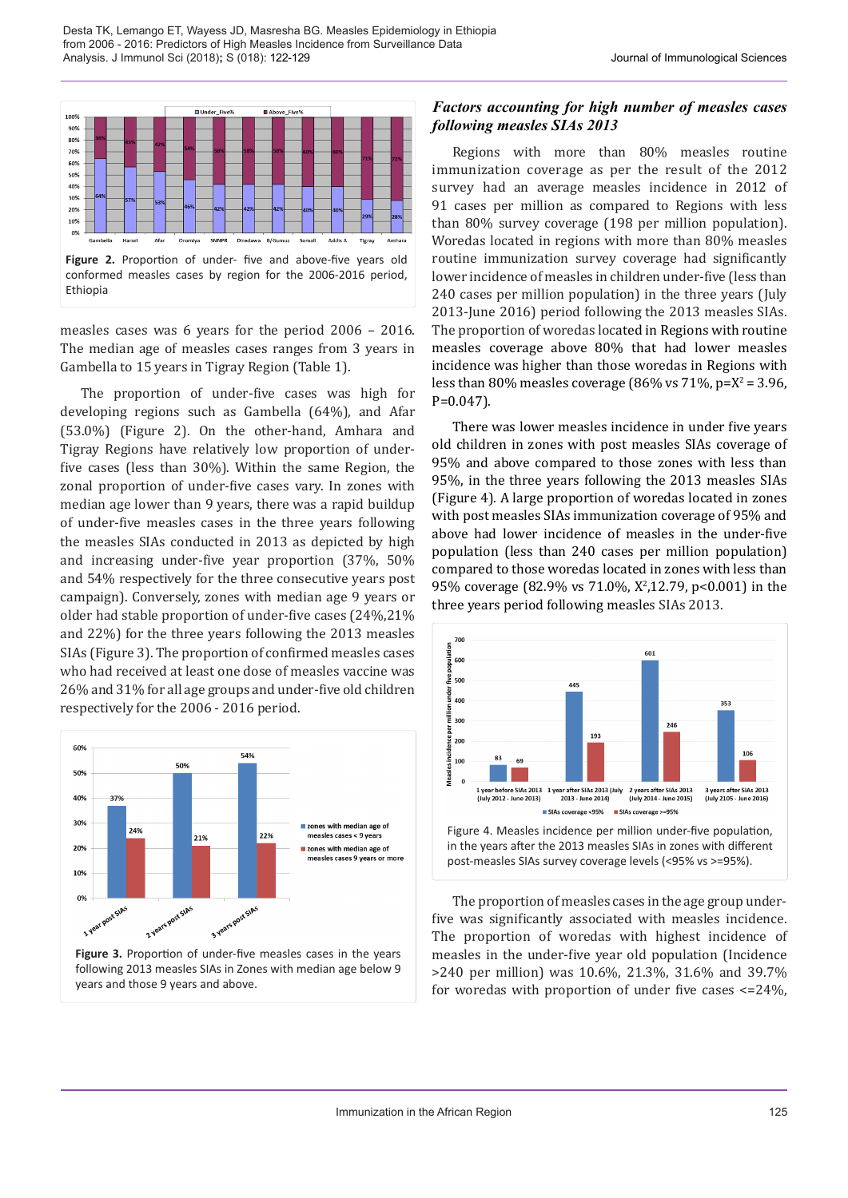

measles cases was 6 years for the period 2006 – 2016. The median age of measles cases ranges from 3 years in Gambella to 15 years in Tigray Region (Table 1).

The proportion of under-five cases was high for developing regions such as Gambella (64%), and Afar (53.0%) (Figure 2). On the other-hand, Amhara and Tigray Regions have relatively low proportion of underfive cases (less than 30%). Within the same Region, the zonal proportion of under-five cases vary. In zones with median age lower than 9 years, there was a rapid buildup of under-five measles cases in the three years following the measles SIAs conducted in 2013 as depicted by high and increasing under-five year proportion (37%, 50% and 54% respectively for the three consecutive years post campaign). Conversely, zones with median age 9 years or older had stable proportion of under-five cases (24%,21% and 22%) for the three years following the 2013 measles SIAs (Figure 3). The proportion of confirmed measles cases who had received at least one dose of measles vaccine was 26% and 31% for all age groups and under-five old children respectively for the 2006 - 2016 period.



**Figure 3.** Proportion of under-five measles cases in the years following 2013 measles SIAs in Zones with median age below 9 years and those 9 years and above.

## *Factors accounting for high number of measles cases following measles SIAs 2013*

Regions with more than 80% measles routine immunization coverage as per the result of the 2012 survey had an average measles incidence in 2012 of 91 cases per million as compared to Regions with less than 80% survey coverage (198 per million population). Woredas located in regions with more than 80% measles routine immunization survey coverage had significantly lower incidence of measles in children under-five (less than 240 cases per million population) in the three years (July 2013-June 2016) period following the 2013 measles SIAs. The proportion of woredas located in Regions with routine measles coverage above 80% that had lower measles incidence was higher than those woredas in Regions with less than  $80\%$  measles coverage ( $86\%$  vs  $71\%$ , p= $X^2 = 3.96$ , P=0.047).

There was lower measles incidence in under five years old children in zones with post measles SIAs coverage of 95% and above compared to those zones with less than 95%, in the three years following the 2013 measles SIAs (Figure 4). A large proportion of woredas located in zones with post measles SIAs immunization coverage of 95% and above had lower incidence of measles in the under-five population (less than 240 cases per million population) compared to those woredas located in zones with less than 95% coverage (82.9% vs 71.0%, X<sup>2</sup> ,12.79, p<0.001) in the three years period following measles SIAs 2013.



in the years after the 2013 measles SIAs in zones with different post-measles SIAs survey coverage levels (<95% vs >=95%).

The proportion of measles cases in the age group underfive was significantly associated with measles incidence. The proportion of woredas with highest incidence of measles in the under-five year old population (Incidence >240 per million) was 10.6%, 21.3%, 31.6% and 39.7% for woredas with proportion of under five cases  $\leq 24\%$ ,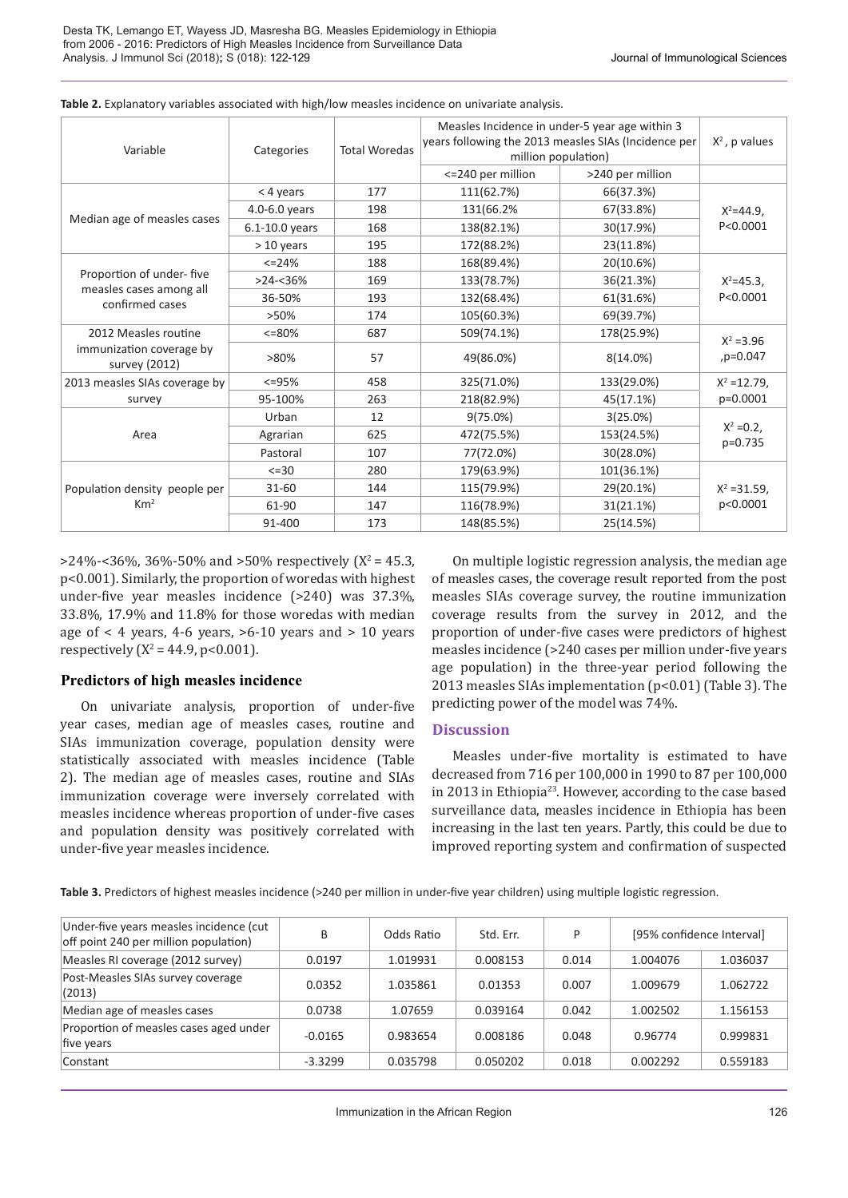| Variable                                   | Categories     | <b>Total Woredas</b> | Measles Incidence in under-5 year age within 3<br>years following the 2013 measles SIAs (Incidence per<br>million population) | $X^2$ , p values |                             |  |
|--------------------------------------------|----------------|----------------------|-------------------------------------------------------------------------------------------------------------------------------|------------------|-----------------------------|--|
|                                            |                |                      | <= 240 per million                                                                                                            | >240 per million |                             |  |
|                                            | $<$ 4 years    | 177                  | 111(62.7%)                                                                                                                    | 66(37.3%)        | $X^2 = 44.9$ ,<br>P<0.0001  |  |
|                                            | 4.0-6.0 years  | 198                  | 131(66.2%                                                                                                                     | 67(33.8%)        |                             |  |
| Median age of measles cases                | 6.1-10.0 years | 168                  | 138(82.1%)                                                                                                                    | 30(17.9%)        |                             |  |
|                                            | $>10$ years    | 195                  | 172(88.2%)                                                                                                                    | 23(11.8%)        |                             |  |
|                                            | $<=$ 24%       | 188                  | 168(89.4%)                                                                                                                    | 20(10.6%)        |                             |  |
| Proportion of under-five                   | $>24 - 36%$    | 169                  | 133(78.7%)                                                                                                                    | 36(21.3%)        | $X^2 = 45.3$ .<br>P<0.0001  |  |
| measles cases among all<br>confirmed cases | 36-50%         | 193                  | 132(68.4%)                                                                                                                    | 61(31.6%)        |                             |  |
|                                            | >50%           | 174                  | 105(60.3%)                                                                                                                    | 69(39.7%)        |                             |  |
| 2012 Measles routine                       | $<=80\%$       | 687                  | 509(74.1%)                                                                                                                    | 178(25.9%)       | $X^2 = 3.96$<br>,p=0.047    |  |
| immunization coverage by<br>survey (2012)  | $>80\%$        | 57                   | 49(86.0%)                                                                                                                     | 8(14.0%)         |                             |  |
| 2013 measles SIAs coverage by              | $<=95%$        | 458                  | 325(71.0%)                                                                                                                    | 133(29.0%)       | $X^2 = 12.79$ ,<br>p=0.0001 |  |
| survey                                     | 95-100%        | 263                  | 218(82.9%)                                                                                                                    | 45(17.1%)        |                             |  |
|                                            | Urban          | 12                   | $9(75.0\%)$                                                                                                                   | 3(25.0%)         | $X^2 = 0.2$ ,<br>p=0.735    |  |
| Area                                       | Agrarian       | 625                  | 472(75.5%)                                                                                                                    | 153(24.5%)       |                             |  |
|                                            | Pastoral       | 107                  | 77(72.0%)                                                                                                                     | 30(28.0%)        |                             |  |
|                                            | $\leq$ = 30    | 280                  | 179(63.9%)                                                                                                                    | 101(36.1%)       |                             |  |
| Population density people per              | $31 - 60$      | 144                  | 115(79.9%)                                                                                                                    | 29(20.1%)        | $X^2 = 31.59$ ,             |  |
| Km <sup>2</sup>                            | 61-90          | 147                  | 116(78.9%)                                                                                                                    | 31(21.1%)        | p<0.0001                    |  |
|                                            | 91-400         | 173                  | 148(85.5%)                                                                                                                    | 25(14.5%)        |                             |  |

**Table 2.** Explanatory variables associated with high/low measles incidence on univariate analysis.

 $>$ 24%-<36%, 36%-50% and  $>$ 50% respectively (X<sup>2</sup> = 45.3, p<0.001). Similarly, the proportion of woredas with highest under-five year measles incidence (>240) was 37.3%, 33.8%, 17.9% and 11.8% for those woredas with median age of  $\lt$  4 years, 4-6 years,  $>6$ -10 years and  $>$  10 years respectively  $(X^2 = 44.9, p < 0.001)$ .

### **Predictors of high measles incidence**

On univariate analysis, proportion of under-five year cases, median age of measles cases, routine and SIAs immunization coverage, population density were statistically associated with measles incidence (Table 2). The median age of measles cases, routine and SIAs immunization coverage were inversely correlated with measles incidence whereas proportion of under-five cases and population density was positively correlated with under-five year measles incidence.

On multiple logistic regression analysis, the median age of measles cases, the coverage result reported from the post measles SIAs coverage survey, the routine immunization coverage results from the survey in 2012, and the proportion of under-five cases were predictors of highest measles incidence (>240 cases per million under-five years age population) in the three-year period following the 2013 measles SIAs implementation (p<0.01) (Table 3). The predicting power of the model was 74%.

#### **Discussion**

Measles under-five mortality is estimated to have decreased from 716 per 100,000 in 1990 to 87 per 100,000 in 2013 in Ethiopia<sup>23</sup>. However, according to the case based surveillance data, measles incidence in Ethiopia has been increasing in the last ten years. Partly, this could be due to improved reporting system and confirmation of suspected

**Table 3.** Predictors of highest measles incidence (>240 per million in under-five year children) using multiple logistic regression.

| Under-five years measles incidence (cut<br>off point 240 per million population) | B         | Odds Ratio | Std. Err. | D     | [95% confidence Interval] |          |
|----------------------------------------------------------------------------------|-----------|------------|-----------|-------|---------------------------|----------|
| Measles RI coverage (2012 survey)                                                | 0.0197    | 1.019931   | 0.008153  | 0.014 | 1.004076                  | 1.036037 |
| Post-Measles SIAs survey coverage<br>(2013)                                      | 0.0352    | 1.035861   | 0.01353   | 0.007 | 1.009679                  | 1.062722 |
| Median age of measles cases                                                      | 0.0738    | 1.07659    | 0.039164  | 0.042 | 1.002502                  | 1.156153 |
| Proportion of measles cases aged under<br>five years                             | $-0.0165$ | 0.983654   | 0.008186  | 0.048 | 0.96774                   | 0.999831 |
| Constant                                                                         | $-3.3299$ | 0.035798   | 0.050202  | 0.018 | 0.002292                  | 0.559183 |